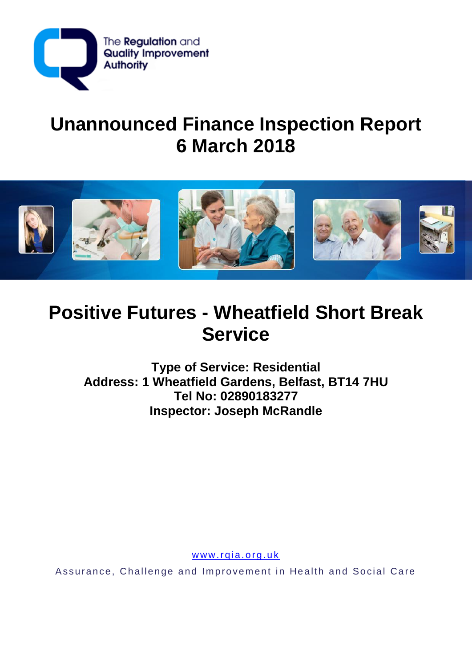

# **Unannounced Finance Inspection Report 6 March 2018**



## **Positive Futures - Wheatfield Short Break Service**

**Type of Service: Residential Address: 1 Wheatfield Gardens, Belfast, BT14 7HU Tel No: 02890183277 Inspector: Joseph McRandle**

www.rqia.org.uk

Assurance, Challenge and Improvement in Health and Social Care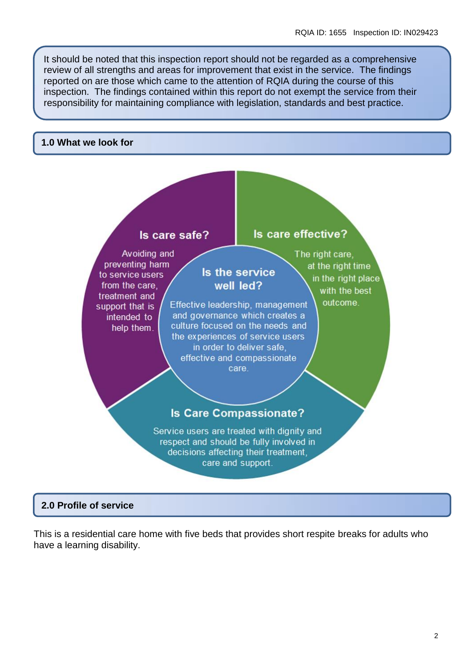It should be noted that this inspection report should not be regarded as a comprehensive review of all strengths and areas for improvement that exist in the service. The findings reported on are those which came to the attention of RQIA during the course of this inspection. The findings contained within this report do not exempt the service from their responsibility for maintaining compliance with legislation, standards and best practice.

### **1.0 What we look for**



## **2.0 Profile of service**

This is a residential care home with five beds that provides short respite breaks for adults who have a learning disability.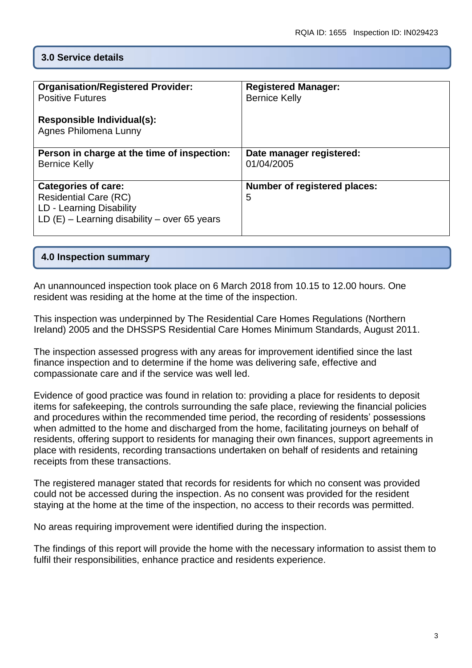## **3.0 Service details**

| <b>Organisation/Registered Provider:</b><br><b>Positive Futures</b><br>Responsible Individual(s):<br><b>Agnes Philomena Lunny</b> | <b>Registered Manager:</b><br><b>Bernice Kelly</b> |
|-----------------------------------------------------------------------------------------------------------------------------------|----------------------------------------------------|
| Person in charge at the time of inspection:<br><b>Bernice Kelly</b>                                                               | Date manager registered:<br>01/04/2005             |
| Categories of care:<br><b>Residential Care (RC)</b><br>LD - Learning Disability<br>LD $(E)$ – Learning disability – over 65 years | Number of registered places:<br>5                  |

## **4.0 Inspection summary**

An unannounced inspection took place on 6 March 2018 from 10.15 to 12.00 hours. One resident was residing at the home at the time of the inspection.

This inspection was underpinned by The Residential Care Homes Regulations (Northern Ireland) 2005 and the DHSSPS Residential Care Homes Minimum Standards, August 2011.

The inspection assessed progress with any areas for improvement identified since the last finance inspection and to determine if the home was delivering safe, effective and compassionate care and if the service was well led.

Evidence of good practice was found in relation to: providing a place for residents to deposit items for safekeeping, the controls surrounding the safe place, reviewing the financial policies and procedures within the recommended time period, the recording of residents' possessions when admitted to the home and discharged from the home, facilitating journeys on behalf of residents, offering support to residents for managing their own finances, support agreements in place with residents, recording transactions undertaken on behalf of residents and retaining receipts from these transactions.

The registered manager stated that records for residents for which no consent was provided could not be accessed during the inspection. As no consent was provided for the resident staying at the home at the time of the inspection, no access to their records was permitted.

No areas requiring improvement were identified during the inspection.

The findings of this report will provide the home with the necessary information to assist them to fulfil their responsibilities, enhance practice and residents experience.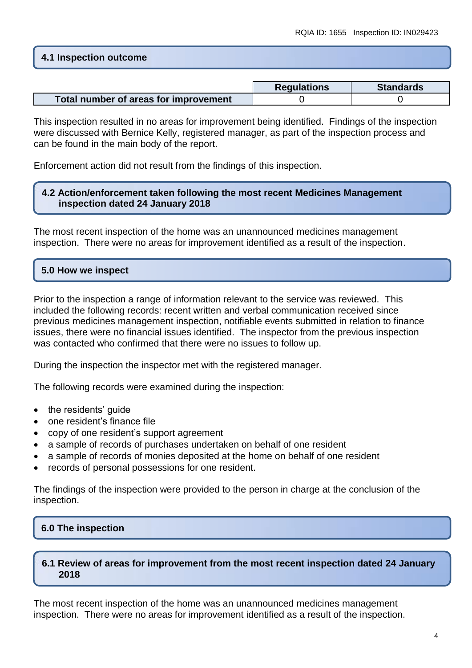## **4.1 Inspection outcome**

|                                       | <b>Regulations</b> | <b>Standards</b> |
|---------------------------------------|--------------------|------------------|
| Total number of areas for improvement |                    |                  |

This inspection resulted in no areas for improvement being identified. Findings of the inspection were discussed with Bernice Kelly, registered manager, as part of the inspection process and can be found in the main body of the report.

Enforcement action did not result from the findings of this inspection.

## **4.2 Action/enforcement taken following the most recent Medicines Management inspection dated 24 January 2018**

The most recent inspection of the home was an unannounced medicines management inspection. There were no areas for improvement identified as a result of the inspection.

## **5.0 How we inspect**

Prior to the inspection a range of information relevant to the service was reviewed. This included the following records: recent written and verbal communication received since previous medicines management inspection, notifiable events submitted in relation to finance issues, there were no financial issues identified. The inspector from the previous inspection was contacted who confirmed that there were no issues to follow up.

During the inspection the inspector met with the registered manager.

The following records were examined during the inspection:

- the residents' guide
- one resident's finance file
- copy of one resident's support agreement
- a sample of records of purchases undertaken on behalf of one resident
- a sample of records of monies deposited at the home on behalf of one resident
- records of personal possessions for one resident.

The findings of the inspection were provided to the person in charge at the conclusion of the inspection.

## **6.0 The inspection**

## **6.1 Review of areas for improvement from the most recent inspection dated 24 January 2018**

The most recent inspection of the home was an unannounced medicines management inspection. There were no areas for improvement identified as a result of the inspection.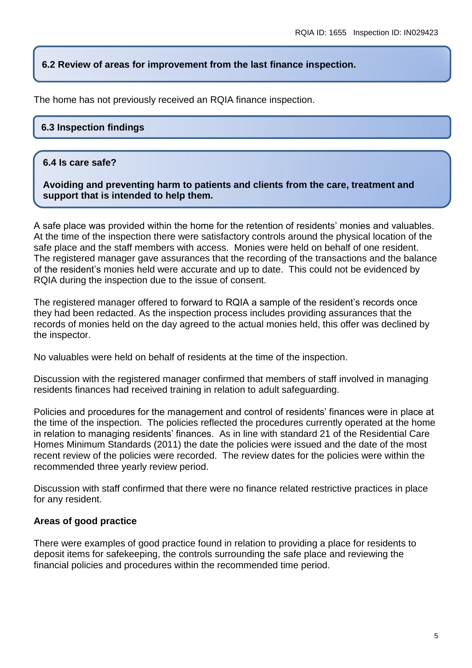## **6.2 Review of areas for improvement from the last finance inspection.**

The home has not previously received an RQIA finance inspection.

## **6.3 Inspection findings**

## **6.4 Is care safe?**

**Avoiding and preventing harm to patients and clients from the care, treatment and support that is intended to help them.**

A safe place was provided within the home for the retention of residents' monies and valuables. At the time of the inspection there were satisfactory controls around the physical location of the safe place and the staff members with access. Monies were held on behalf of one resident. The registered manager gave assurances that the recording of the transactions and the balance of the resident's monies held were accurate and up to date. This could not be evidenced by RQIA during the inspection due to the issue of consent.

The registered manager offered to forward to RQIA a sample of the resident's records once they had been redacted. As the inspection process includes providing assurances that the records of monies held on the day agreed to the actual monies held, this offer was declined by the inspector.

No valuables were held on behalf of residents at the time of the inspection.

Discussion with the registered manager confirmed that members of staff involved in managing residents finances had received training in relation to adult safeguarding.

Policies and procedures for the management and control of residents' finances were in place at the time of the inspection. The policies reflected the procedures currently operated at the home in relation to managing residents' finances. As in line with standard 21 of the Residential Care Homes Minimum Standards (2011) the date the policies were issued and the date of the most recent review of the policies were recorded. The review dates for the policies were within the recommended three yearly review period.

Discussion with staff confirmed that there were no finance related restrictive practices in place for any resident.

#### **Areas of good practice**

There were examples of good practice found in relation to providing a place for residents to deposit items for safekeeping, the controls surrounding the safe place and reviewing the financial policies and procedures within the recommended time period.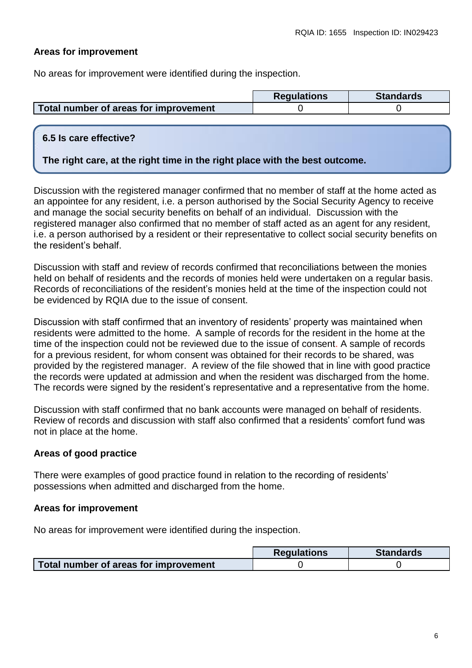## **Areas for improvement**

No areas for improvement were identified during the inspection.

|                                       | <b>Regulations</b> | <b>Standards</b> |
|---------------------------------------|--------------------|------------------|
| Total number of areas for improvement |                    |                  |

## **6.5 Is care effective?**

## **The right care, at the right time in the right place with the best outcome.**

Discussion with the registered manager confirmed that no member of staff at the home acted as an appointee for any resident, i.e. a person authorised by the Social Security Agency to receive and manage the social security benefits on behalf of an individual. Discussion with the registered manager also confirmed that no member of staff acted as an agent for any resident, i.e. a person authorised by a resident or their representative to collect social security benefits on the resident's behalf.

Discussion with staff and review of records confirmed that reconciliations between the monies held on behalf of residents and the records of monies held were undertaken on a regular basis. Records of reconciliations of the resident's monies held at the time of the inspection could not be evidenced by RQIA due to the issue of consent.

Discussion with staff confirmed that an inventory of residents' property was maintained when residents were admitted to the home. A sample of records for the resident in the home at the time of the inspection could not be reviewed due to the issue of consent. A sample of records for a previous resident, for whom consent was obtained for their records to be shared, was provided by the registered manager. A review of the file showed that in line with good practice the records were updated at admission and when the resident was discharged from the home. The records were signed by the resident's representative and a representative from the home.

Discussion with staff confirmed that no bank accounts were managed on behalf of residents. Review of records and discussion with staff also confirmed that a residents' comfort fund was not in place at the home.

## **Areas of good practice**

There were examples of good practice found in relation to the recording of residents' possessions when admitted and discharged from the home.

#### **Areas for improvement**

No areas for improvement were identified during the inspection.

|                                       | <b>Regulations</b> | <b>Standards</b> |
|---------------------------------------|--------------------|------------------|
| Total number of areas for improvement |                    |                  |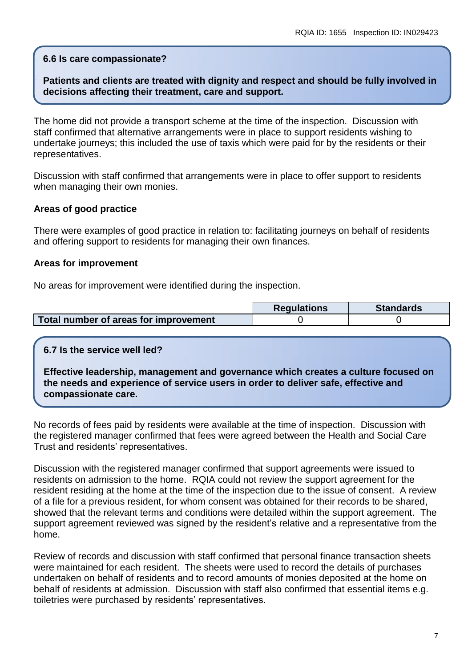## **6.6 Is care compassionate?**

## **Patients and clients are treated with dignity and respect and should be fully involved in decisions affecting their treatment, care and support.**

The home did not provide a transport scheme at the time of the inspection. Discussion with staff confirmed that alternative arrangements were in place to support residents wishing to undertake journeys; this included the use of taxis which were paid for by the residents or their representatives.

Discussion with staff confirmed that arrangements were in place to offer support to residents when managing their own monies.

## **Areas of good practice**

There were examples of good practice in relation to: facilitating journeys on behalf of residents and offering support to residents for managing their own finances.

## **Areas for improvement**

No areas for improvement were identified during the inspection.

|                                       | <b>Requlations</b> | <b>Standards</b> |
|---------------------------------------|--------------------|------------------|
| Total number of areas for improvement |                    |                  |

## **6.7 Is the service well led?**

**Effective leadership, management and governance which creates a culture focused on the needs and experience of service users in order to deliver safe, effective and compassionate care.**

No records of fees paid by residents were available at the time of inspection. Discussion with the registered manager confirmed that fees were agreed between the Health and Social Care Trust and residents' representatives.

Discussion with the registered manager confirmed that support agreements were issued to residents on admission to the home. RQIA could not review the support agreement for the resident residing at the home at the time of the inspection due to the issue of consent. A review of a file for a previous resident, for whom consent was obtained for their records to be shared, showed that the relevant terms and conditions were detailed within the support agreement. The support agreement reviewed was signed by the resident's relative and a representative from the home.

Review of records and discussion with staff confirmed that personal finance transaction sheets were maintained for each resident. The sheets were used to record the details of purchases undertaken on behalf of residents and to record amounts of monies deposited at the home on behalf of residents at admission. Discussion with staff also confirmed that essential items e.g. toiletries were purchased by residents' representatives.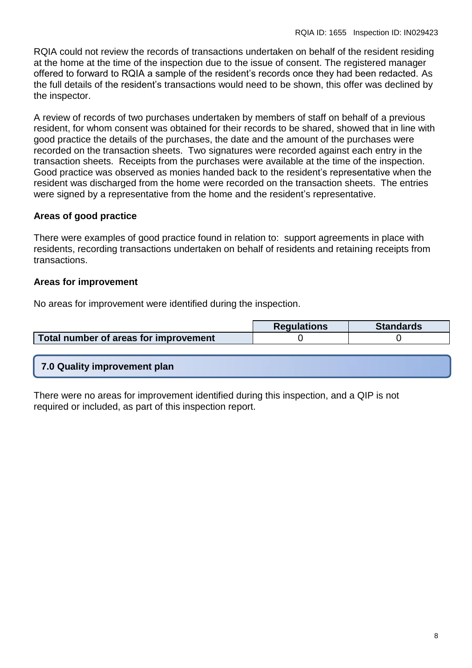RQIA could not review the records of transactions undertaken on behalf of the resident residing at the home at the time of the inspection due to the issue of consent. The registered manager offered to forward to RQIA a sample of the resident's records once they had been redacted. As the full details of the resident's transactions would need to be shown, this offer was declined by the inspector.

A review of records of two purchases undertaken by members of staff on behalf of a previous resident, for whom consent was obtained for their records to be shared, showed that in line with good practice the details of the purchases, the date and the amount of the purchases were recorded on the transaction sheets. Two signatures were recorded against each entry in the transaction sheets. Receipts from the purchases were available at the time of the inspection. Good practice was observed as monies handed back to the resident's representative when the resident was discharged from the home were recorded on the transaction sheets. The entries were signed by a representative from the home and the resident's representative.

## **Areas of good practice**

There were examples of good practice found in relation to: support agreements in place with residents, recording transactions undertaken on behalf of residents and retaining receipts from transactions.

## **Areas for improvement**

No areas for improvement were identified during the inspection.

|                                       | <b>Regulations</b> | <b>Standards</b> |
|---------------------------------------|--------------------|------------------|
| Total number of areas for improvement |                    |                  |

## **7.0 Quality improvement plan**

There were no areas for improvement identified during this inspection, and a QIP is not required or included, as part of this inspection report.